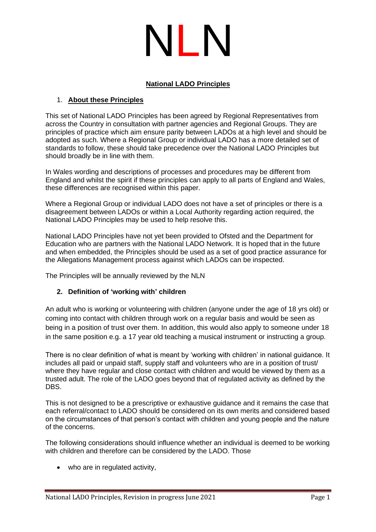

## **National LADO Principles**

## 1. **About these Principles**

This set of National LADO Principles has been agreed by Regional Representatives from across the Country in consultation with partner agencies and Regional Groups. They are principles of practice which aim ensure parity between LADOs at a high level and should be adopted as such. Where a Regional Group or individual LADO has a more detailed set of standards to follow, these should take precedence over the National LADO Principles but should broadly be in line with them.

In Wales wording and descriptions of processes and procedures may be different from England and whilst the spirit if these principles can apply to all parts of England and Wales, these differences are recognised within this paper.

Where a Regional Group or individual LADO does not have a set of principles or there is a disagreement between LADOs or within a Local Authority regarding action required, the National LADO Principles may be used to help resolve this.

National LADO Principles have not yet been provided to Ofsted and the Department for Education who are partners with the National LADO Network. It is hoped that in the future and when embedded, the Principles should be used as a set of good practice assurance for the Allegations Management process against which LADOs can be inspected.

The Principles will be annually reviewed by the NLN

## **2. Definition of 'working with' children**

An adult who is working or volunteering with children (anyone under the age of 18 yrs old) or coming into contact with children through work on a regular basis and would be seen as being in a position of trust over them. In addition, this would also apply to someone under 18 in the same position e.g. a 17 year old teaching a musical instrument or instructing a group.

There is no clear definition of what is meant by 'working with children' in national guidance. It includes all paid or unpaid staff, supply staff and volunteers who are in a position of trust/ where they have regular and close contact with children and would be viewed by them as a trusted adult. The role of the LADO goes beyond that of regulated activity as defined by the DBS.

This is not designed to be a prescriptive or exhaustive guidance and it remains the case that each referral/contact to LADO should be considered on its own merits and considered based on the circumstances of that person's contact with children and young people and the nature of the concerns.

The following considerations should influence whether an individual is deemed to be working with children and therefore can be considered by the LADO. Those

• who are in regulated activity,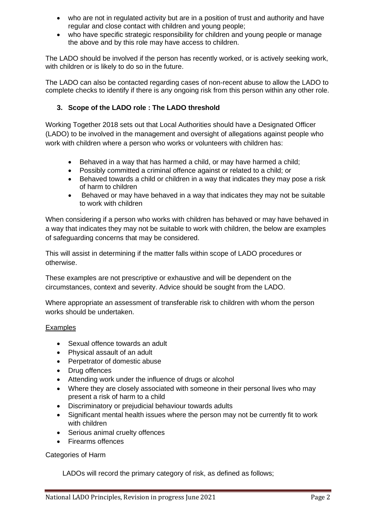- who are not in regulated activity but are in a position of trust and authority and have regular and close contact with children and young people;
- who have specific strategic responsibility for children and young people or manage the above and by this role may have access to children.

The LADO should be involved if the person has recently worked, or is actively seeking work, with children or is likely to do so in the future.

The LADO can also be contacted regarding cases of non-recent abuse to allow the LADO to complete checks to identify if there is any ongoing risk from this person within any other role.

## **3. Scope of the LADO role : The LADO threshold**

Working Together 2018 sets out that Local Authorities should have a Designated Officer (LADO) to be involved in the management and oversight of allegations against people who work with children where a person who works or volunteers with children has:

- Behaved in a way that has harmed a child, or may have harmed a child;
- Possibly committed a criminal offence against or related to a child; or
- Behaved towards a child or children in a way that indicates they may pose a risk of harm to children
- Behaved or may have behaved in a way that indicates they may not be suitable to work with children

When considering if a person who works with children has behaved or may have behaved in a way that indicates they may not be suitable to work with children, the below are examples of safeguarding concerns that may be considered.

This will assist in determining if the matter falls within scope of LADO procedures or otherwise.

These examples are not prescriptive or exhaustive and will be dependent on the circumstances, context and severity. Advice should be sought from the LADO.

Where appropriate an assessment of transferable risk to children with whom the person works should be undertaken.

### Examples

- Sexual offence towards an adult
- Physical assault of an adult
- Perpetrator of domestic abuse
- Drug offences

.

- Attending work under the influence of drugs or alcohol
- Where they are closely associated with someone in their personal lives who may present a risk of harm to a child
- Discriminatory or prejudicial behaviour towards adults
- Significant mental health issues where the person may not be currently fit to work with children
- Serious animal cruelty offences
- Firearms offences

Categories of Harm

LADOs will record the primary category of risk, as defined as follows;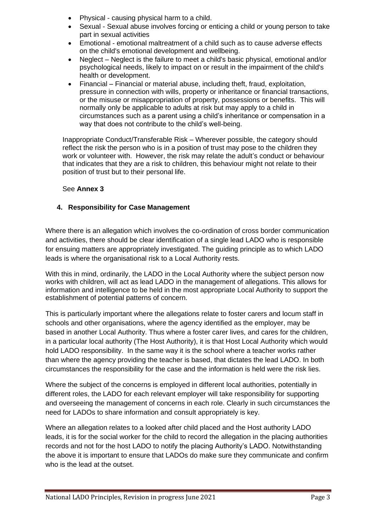- Physical causing physical harm to a child.
- Sexual Sexual abuse involves forcing or enticing a child or young person to take part in sexual activities
- Emotional emotional maltreatment of a child such as to cause adverse effects on the child's emotional development and wellbeing.
- Neglect Neglect is the failure to meet a child's basic physical, emotional and/or psychological needs, likely to impact on or result in the impairment of the child's health or development.
- Financial Financial or material abuse, including theft, fraud, exploitation, pressure in connection with wills, property or inheritance or financial transactions, or the misuse or misappropriation of property, possessions or benefits. This will normally only be applicable to adults at risk but may apply to a child in circumstances such as a parent using a child's inheritance or compensation in a way that does not contribute to the child's well-being.

Inappropriate Conduct/Transferable Risk – Wherever possible, the category should reflect the risk the person who is in a position of trust may pose to the children they work or volunteer with. However, the risk may relate the adult's conduct or behaviour that indicates that they are a risk to children, this behaviour might not relate to their position of trust but to their personal life.

## See **Annex 3**

## **4. Responsibility for Case Management**

Where there is an allegation which involves the co-ordination of cross border communication and activities, there should be clear identification of a single lead LADO who is responsible for ensuing matters are appropriately investigated. The guiding principle as to which LADO leads is where the organisational risk to a Local Authority rests.

With this in mind, ordinarily, the LADO in the Local Authority where the subject person now works with children, will act as lead LADO in the management of allegations. This allows for information and intelligence to be held in the most appropriate Local Authority to support the establishment of potential patterns of concern.

This is particularly important where the allegations relate to foster carers and locum staff in schools and other organisations, where the agency identified as the employer, may be based in another Local Authority. Thus where a foster carer lives, and cares for the children, in a particular local authority (The Host Authority), it is that Host Local Authority which would hold LADO responsibility. In the same way it is the school where a teacher works rather than where the agency providing the teacher is based, that dictates the lead LADO. In both circumstances the responsibility for the case and the information is held were the risk lies.

Where the subject of the concerns is employed in different local authorities, potentially in different roles, the LADO for each relevant employer will take responsibility for supporting and overseeing the management of concerns in each role. Clearly in such circumstances the need for LADOs to share information and consult appropriately is key.

Where an allegation relates to a looked after child placed and the Host authority LADO leads, it is for the social worker for the child to record the allegation in the placing authorities records and not for the host LADO to notify the placing Authority's LADO. Notwithstanding the above it is important to ensure that LADOs do make sure they communicate and confirm who is the lead at the outset.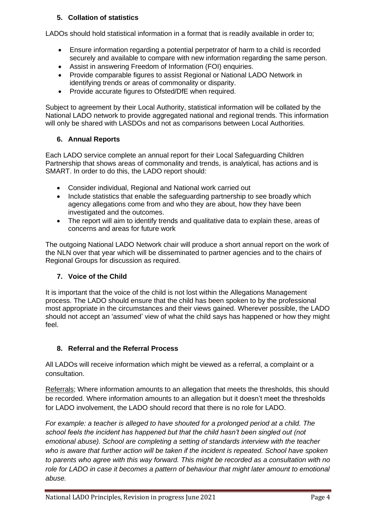## **5. Collation of statistics**

LADOs should hold statistical information in a format that is readily available in order to;

- Ensure information regarding a potential perpetrator of harm to a child is recorded securely and available to compare with new information regarding the same person.
- Assist in answering Freedom of Information (FOI) enquiries.
- Provide comparable figures to assist Regional or National LADO Network in identifying trends or areas of commonality or disparity.
- Provide accurate figures to Ofsted/DfE when required.

Subject to agreement by their Local Authority, statistical information will be collated by the National LADO network to provide aggregated national and regional trends. This information will only be shared with LASDOs and not as comparisons between Local Authorities.

## **6. Annual Reports**

Each LADO service complete an annual report for their Local Safeguarding Children Partnership that shows areas of commonality and trends, is analytical, has actions and is SMART. In order to do this, the LADO report should:

- Consider individual, Regional and National work carried out
- Include statistics that enable the safeguarding partnership to see broadly which agency allegations come from and who they are about, how they have been investigated and the outcomes.
- The report will aim to identify trends and qualitative data to explain these, areas of concerns and areas for future work

The outgoing National LADO Network chair will produce a short annual report on the work of the NLN over that year which will be disseminated to partner agencies and to the chairs of Regional Groups for discussion as required.

## **7. Voice of the Child**

It is important that the voice of the child is not lost within the Allegations Management process. The LADO should ensure that the child has been spoken to by the professional most appropriate in the circumstances and their views gained. Wherever possible, the LADO should not accept an 'assumed' view of what the child says has happened or how they might feel.

## **8. Referral and the Referral Process**

All LADOs will receive information which might be viewed as a referral, a complaint or a consultation.

Referrals; Where information amounts to an allegation that meets the thresholds, this should be recorded. Where information amounts to an allegation but it doesn't meet the thresholds for LADO involvement, the LADO should record that there is no role for LADO.

*For example: a teacher is alleged to have shouted for a prolonged period at a child. The school feels the incident has happened but that the child hasn't been singled out (not emotional abuse). School are completing a setting of standards interview with the teacher who is aware that further action will be taken if the incident is repeated. School have spoken to parents who agree with this way forward. This might be recorded as a consultation with no role for LADO in case it becomes a pattern of behaviour that might later amount to emotional abuse.*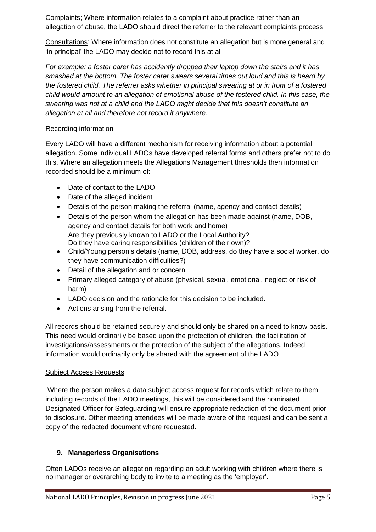Complaints; Where information relates to a complaint about practice rather than an allegation of abuse, the LADO should direct the referrer to the relevant complaints process.

Consultations: Where information does not constitute an allegation but is more general and 'in principal' the LADO may decide not to record this at all.

*For example: a foster carer has accidently dropped their laptop down the stairs and it has smashed at the bottom. The foster carer swears several times out loud and this is heard by the fostered child. The referrer asks whether in principal swearing at or in front of a fostered child would amount to an allegation of emotional abuse of the fostered child. In this case, the swearing was not at a child and the LADO might decide that this doesn't constitute an allegation at all and therefore not record it anywhere.*

## Recording information

Every LADO will have a different mechanism for receiving information about a potential allegation. Some individual LADOs have developed referral forms and others prefer not to do this. Where an allegation meets the Allegations Management thresholds then information recorded should be a minimum of:

- Date of contact to the LADO
- Date of the alleged incident
- Details of the person making the referral (name, agency and contact details)
- Details of the person whom the allegation has been made against (name, DOB, agency and contact details for both work and home) Are they previously known to LADO or the Local Authority? Do they have caring responsibilities (children of their own)?
- Child/Young person's details (name, DOB, address, do they have a social worker, do they have communication difficulties?)
- Detail of the allegation and or concern
- Primary alleged category of abuse (physical, sexual, emotional, neglect or risk of harm)
- LADO decision and the rationale for this decision to be included.
- Actions arising from the referral.

All records should be retained securely and should only be shared on a need to know basis. This need would ordinarily be based upon the protection of children, the facilitation of investigations/assessments or the protection of the subject of the allegations. Indeed information would ordinarily only be shared with the agreement of the LADO

## Subject Access Requests

Where the person makes a data subject access request for records which relate to them, including records of the LADO meetings, this will be considered and the nominated Designated Officer for Safeguarding will ensure appropriate redaction of the document prior to disclosure. Other meeting attendees will be made aware of the request and can be sent a copy of the redacted document where requested.

## **9. Managerless Organisations**

Often LADOs receive an allegation regarding an adult working with children where there is no manager or overarching body to invite to a meeting as the 'employer'.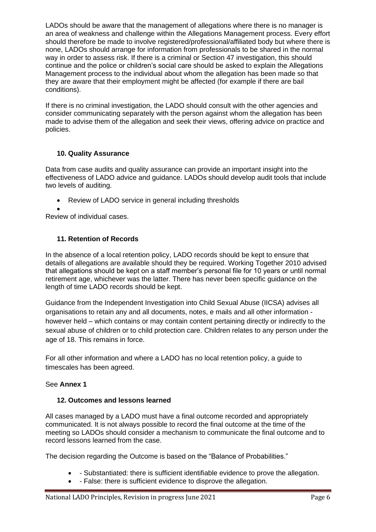LADOs should be aware that the management of allegations where there is no manager is an area of weakness and challenge within the Allegations Management process. Every effort should therefore be made to involve registered/professional/affiliated body but where there is none, LADOs should arrange for information from professionals to be shared in the normal way in order to assess risk. If there is a criminal or Section 47 investigation, this should continue and the police or children's social care should be asked to explain the Allegations Management process to the individual about whom the allegation has been made so that they are aware that their employment might be affected (for example if there are bail conditions).

If there is no criminal investigation, the LADO should consult with the other agencies and consider communicating separately with the person against whom the allegation has been made to advise them of the allegation and seek their views, offering advice on practice and policies.

## **10. Quality Assurance**

Data from case audits and quality assurance can provide an important insight into the effectiveness of LADO advice and guidance. LADOs should develop audit tools that include two levels of auditing.

• Review of LADO service in general including thresholds

• Review of individual cases.

# **11. Retention of Records**

In the absence of a local retention policy, LADO records should be kept to ensure that details of allegations are available should they be required. Working Together 2010 advised that allegations should be kept on a staff member's personal file for 10 years or until normal retirement age, whichever was the latter. There has never been specific guidance on the length of time LADO records should be kept.

Guidance from the Independent Investigation into Child Sexual Abuse (IICSA) advises all organisations to retain any and all documents, notes, e mails and all other information however held – which contains or may contain content pertaining directly or indirectly to the sexual abuse of children or to child protection care. Children relates to any person under the age of 18. This remains in force.

For all other information and where a LADO has no local retention policy, a guide to timescales has been agreed.

# See **Annex 1**

## **12. Outcomes and lessons learned**

All cases managed by a LADO must have a final outcome recorded and appropriately communicated. It is not always possible to record the final outcome at the time of the meeting so LADOs should consider a mechanism to communicate the final outcome and to record lessons learned from the case.

The decision regarding the Outcome is based on the "Balance of Probabilities."

- - Substantiated: there is sufficient identifiable evidence to prove the allegation.
- - False: there is sufficient evidence to disprove the allegation.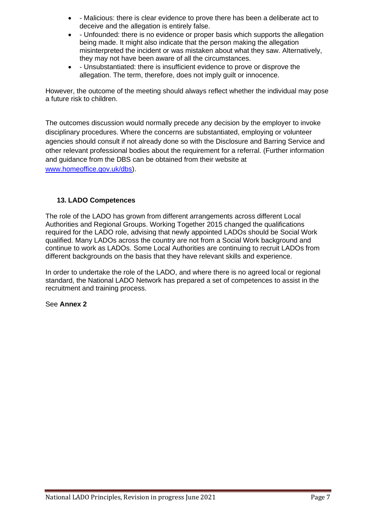- - Malicious: there is clear evidence to prove there has been a deliberate act to deceive and the allegation is entirely false.
- - Unfounded: there is no evidence or proper basis which supports the allegation being made. It might also indicate that the person making the allegation misinterpreted the incident or was mistaken about what they saw. Alternatively, they may not have been aware of all the circumstances.
- - Unsubstantiated: there is insufficient evidence to prove or disprove the allegation. The term, therefore, does not imply guilt or innocence.

However, the outcome of the meeting should always reflect whether the individual may pose a future risk to children.

The outcomes discussion would normally precede any decision by the employer to invoke disciplinary procedures. Where the concerns are substantiated, employing or volunteer agencies should consult if not already done so with the Disclosure and Barring Service and other relevant professional bodies about the requirement for a referral. (Further information and guidance from the DBS can be obtained from their website at [www.homeoffice.gov.uk/dbs\)](https://protect-eu.mimecast.com/s/uISPC3lkjtRylM9igRK7Q?domain=homeoffice.gov.uk).

## **13. LADO Competences**

The role of the LADO has grown from different arrangements across different Local Authorities and Regional Groups. Working Together 2015 changed the qualifications required for the LADO role, advising that newly appointed LADOs should be Social Work qualified. Many LADOs across the country are not from a Social Work background and continue to work as LADOs. Some Local Authorities are continuing to recruit LADOs from different backgrounds on the basis that they have relevant skills and experience.

In order to undertake the role of the LADO, and where there is no agreed local or regional standard, the National LADO Network has prepared a set of competences to assist in the recruitment and training process.

### See **Annex 2**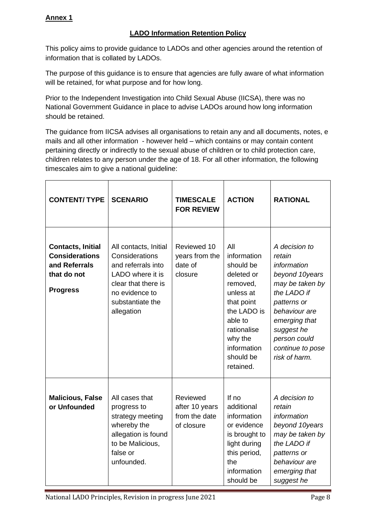## **LADO Information Retention Policy**

This policy aims to provide guidance to LADOs and other agencies around the retention of information that is collated by LADOs.

The purpose of this guidance is to ensure that agencies are fully aware of what information will be retained, for what purpose and for how long.

Prior to the Independent Investigation into Child Sexual Abuse (IICSA), there was no National Government Guidance in place to advise LADOs around how long information should be retained.

The guidance from IICSA advises all organisations to retain any and all documents, notes, e mails and all other information - however held – which contains or may contain content pertaining directly or indirectly to the sexual abuse of children or to child protection care, children relates to any person under the age of 18. For all other information, the following timescales aim to give a national guideline:

| <b>CONTENT/ TYPE</b>                                                                                 | <b>SCENARIO</b>                                                                                                                                              | <b>TIMESCALE</b><br><b>FOR REVIEW</b>                     | <b>ACTION</b>                                                                                                                                                                     | <b>RATIONAL</b>                                                                                                                                                                                                |
|------------------------------------------------------------------------------------------------------|--------------------------------------------------------------------------------------------------------------------------------------------------------------|-----------------------------------------------------------|-----------------------------------------------------------------------------------------------------------------------------------------------------------------------------------|----------------------------------------------------------------------------------------------------------------------------------------------------------------------------------------------------------------|
| <b>Contacts, Initial</b><br><b>Considerations</b><br>and Referrals<br>that do not<br><b>Progress</b> | All contacts, Initial<br>Considerations<br>and referrals into<br>LADO where it is<br>clear that there is<br>no evidence to<br>substantiate the<br>allegation | Reviewed 10<br>years from the<br>date of<br>closure       | All<br>information<br>should be<br>deleted or<br>removed,<br>unless at<br>that point<br>the LADO is<br>able to<br>rationalise<br>why the<br>information<br>should be<br>retained. | A decision to<br>retain<br>information<br>beyond 10years<br>may be taken by<br>the LADO if<br>patterns or<br>behaviour are<br>emerging that<br>suggest he<br>person could<br>continue to pose<br>risk of harm. |
| <b>Malicious, False</b><br>or Unfounded                                                              | All cases that<br>progress to<br>strategy meeting<br>whereby the<br>allegation is found<br>to be Malicious,<br>false or<br>unfounded.                        | Reviewed<br>after 10 years<br>from the date<br>of closure | If no<br>additional<br>information<br>or evidence<br>is brought to<br>light during<br>this period,<br>the<br>information<br>should be                                             | A decision to<br>retain<br>information<br>beyond 10years<br>may be taken by<br>the LADO if<br>patterns or<br>behaviour are<br>emerging that<br>suggest he                                                      |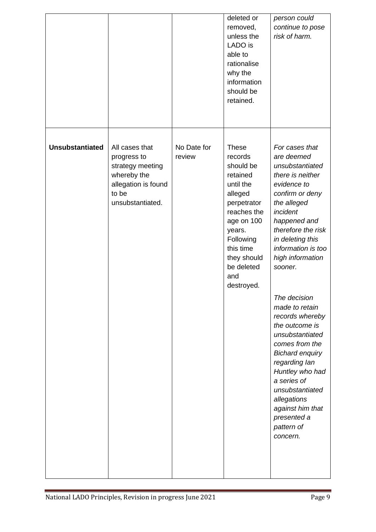|                        |                                                                                                                      |                       | deleted or<br>removed,<br>unless the<br>LADO is<br>able to<br>rationalise<br>why the<br>information<br>should be<br>retained.                                                                              | person could<br>continue to pose<br>risk of harm.                                                                                                                                                                                                                                                                                                                                                                                                                                                                                       |
|------------------------|----------------------------------------------------------------------------------------------------------------------|-----------------------|------------------------------------------------------------------------------------------------------------------------------------------------------------------------------------------------------------|-----------------------------------------------------------------------------------------------------------------------------------------------------------------------------------------------------------------------------------------------------------------------------------------------------------------------------------------------------------------------------------------------------------------------------------------------------------------------------------------------------------------------------------------|
| <b>Unsubstantiated</b> | All cases that<br>progress to<br>strategy meeting<br>whereby the<br>allegation is found<br>to be<br>unsubstantiated. | No Date for<br>review | <b>These</b><br>records<br>should be<br>retained<br>until the<br>alleged<br>perpetrator<br>reaches the<br>age on 100<br>years.<br>Following<br>this time<br>they should<br>be deleted<br>and<br>destroyed. | For cases that<br>are deemed<br>unsubstantiated<br>there is neither<br>evidence to<br>confirm or deny<br>the alleged<br>incident<br>happened and<br>therefore the risk<br>in deleting this<br>information is too<br>high information<br>sooner.<br>The decision<br>made to retain<br>records whereby<br>the outcome is<br>unsubstantiated<br>comes from the<br><b>Bichard enquiry</b><br>regarding lan<br>Huntley who had<br>a series of<br>unsubstantiated<br>allegations<br>against him that<br>presented a<br>pattern of<br>concern. |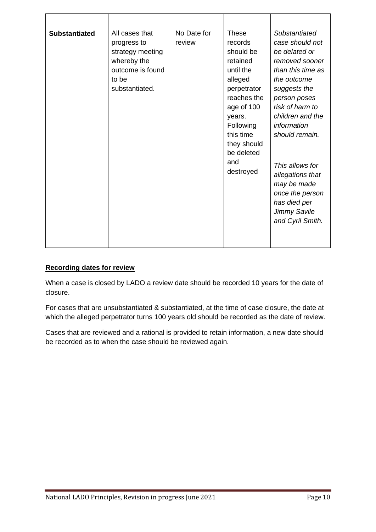| <b>Substantiated</b> | All cases that<br>progress to<br>strategy meeting<br>whereby the<br>outcome is found<br>to be<br>substantiated. | No Date for<br>review | <b>These</b><br>records<br>should be<br>retained<br>until the<br>alleged<br>perpetrator<br>reaches the<br>age of 100<br>years.<br>Following<br>this time<br>they should<br>be deleted<br>and<br>destroyed | Substantiated<br>case should not<br>be delated or<br>removed sooner<br>than this time as<br>the outcome<br>suggests the<br>person poses<br>risk of harm to<br>children and the<br>information<br>should remain.<br>This allows for<br>allegations that<br>may be made<br>once the person<br>has died per<br><b>Jimmy Savile</b><br>and Cyril Smith. |
|----------------------|-----------------------------------------------------------------------------------------------------------------|-----------------------|-----------------------------------------------------------------------------------------------------------------------------------------------------------------------------------------------------------|-----------------------------------------------------------------------------------------------------------------------------------------------------------------------------------------------------------------------------------------------------------------------------------------------------------------------------------------------------|

## **Recording dates for review**

When a case is closed by LADO a review date should be recorded 10 years for the date of closure.

For cases that are unsubstantiated & substantiated, at the time of case closure, the date at which the alleged perpetrator turns 100 years old should be recorded as the date of review.

Cases that are reviewed and a rational is provided to retain information, a new date should be recorded as to when the case should be reviewed again.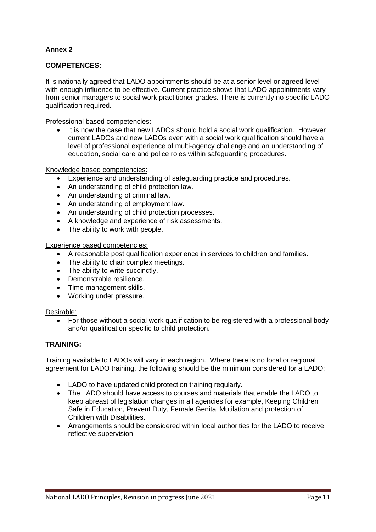## **Annex 2**

### **COMPETENCES:**

It is nationally agreed that LADO appointments should be at a senior level or agreed level with enough influence to be effective. Current practice shows that LADO appointments vary from senior managers to social work practitioner grades. There is currently no specific LADO qualification required.

Professional based competencies:

• It is now the case that new LADOs should hold a social work qualification. However current LADOs and new LADOs even with a social work qualification should have a level of professional experience of multi-agency challenge and an understanding of education, social care and police roles within safeguarding procedures.

Knowledge based competencies:

- Experience and understanding of safeguarding practice and procedures.
- An understanding of child protection law.
- An understanding of criminal law.
- An understanding of employment law.
- An understanding of child protection processes.
- A knowledge and experience of risk assessments.
- The ability to work with people.

Experience based competencies:

- A reasonable post qualification experience in services to children and families.
- The ability to chair complex meetings.
- The ability to write succinctly.
- Demonstrable resilience.
- Time management skills.
- Working under pressure.

#### Desirable:

• For those without a social work qualification to be registered with a professional body and/or qualification specific to child protection.

#### **TRAINING:**

Training available to LADOs will vary in each region. Where there is no local or regional agreement for LADO training, the following should be the minimum considered for a LADO:

- LADO to have updated child protection training regularly.
- The LADO should have access to courses and materials that enable the LADO to keep abreast of legislation changes in all agencies for example, Keeping Children Safe in Education, Prevent Duty, Female Genital Mutilation and protection of Children with Disabilities.
- Arrangements should be considered within local authorities for the LADO to receive reflective supervision.